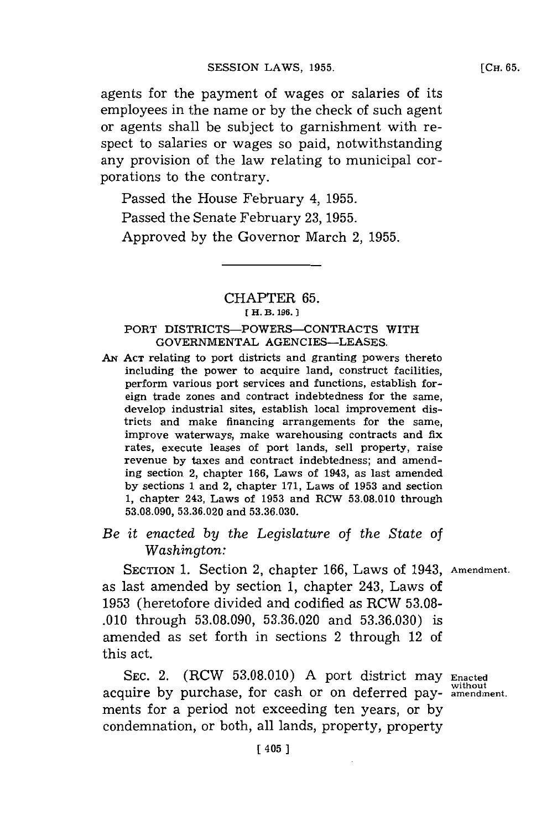agents for the payment of wages or salaries of its employees in the name or **by** the check of such agent or agents shall be subject to garnishment with respect to salaries or wages so paid, notwithstanding any provision of the law relating to municipal corporations to the contrary.

Passed the House February 4, **1955.** Passed the Senate February **23, 1955.** Approved **by** the Governor March 2, **1955.**

### CHAPTER **65. [ H. B. 196.])**

### PORT DISTRICTS-POWERS-CONTRACTS WITH **GOVERNMENTAL AGENCIES-LEASES.**

**AN ACT** relating to port districts and granting powers thereto including the power to acquire land, construct facilities, perform various port services and functions, establish foreign trade zones and contract indebtedness for the same, develop industrial sites, establish local improvement districts and make financing arrangements for the same, improve waterways, make warehousing contracts and fix rates, execute leases of port lands, sell property, raise revenue **by** taxes and contract indebtedness; and amending section 2, chapter **166,** Laws of 1943, as last amended **by** sections **1** and 2, chapter **171,** Laws of **1953** and section **1,** chapter 243, Laws of **1953** and RCW **53.08.010** through **53.08.090, 53.36.020** and **53.36.030.**

# *Be it enacted by the Legislature of the State of Washington:*

SECTioN **1.** Section 2, chapter **166,** Laws of 1943, **Amendment.** as last amended **by** section **1,** chapter 243, Laws of **1953** (heretofore divided and codified as RCW **53.08- .010** through **53.08.090, 53.36.020** and **53.36.030)** is amended as set forth in sections 2 through 12 of this act.

**SEC.** 2. (RCW **53.08.010) A** port district may **Enacted without** acquire **by** purchase, for cash or on deferred pay- **amendment.** ments for a period not exceeding ten years, or by condemnation, or both, all lands, property, property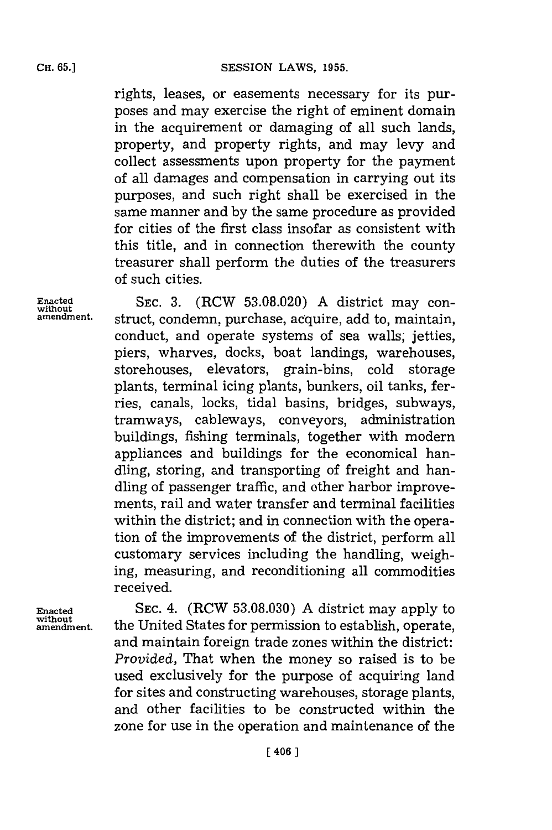rights, leases, or easements necessary for its purposes and may exercise the right of eminent domain in the acquirement or damaging of all such lands, property, and property rights, and may levy and collect assessments upon property for the payment of all damages and compensation in carrying out its purposes, and such right shall be exercised in the same manner and **by** the same procedure as provided for cities of the first class insofar as consistent with this title, and in connection therewith the county treasurer shall perform the duties of the treasurers of such cities.

**Enacted SEC. 3.** (RCW **53.08.020) A** district may con**amendment.** struct, condemn, purchase, acquire, add to, maintain, conduct, and operate systems of sea walls, jetties, piers, wharves, docks, boat landings, warehouses, storehouses, elevators, grain-bins, cold storage plants, terminal icing plants, bunkers, oil tanks, ferries, canals, locks, tidal basins, bridges, subways, tramways, cableways, conveyors, administration buildings, fishing terminals, together with modern appliances and buildings for the economical handling, storing, and transporting of freight and handling of passenger traffic, and other harbor improvements, rail and water transfer and terminal facilities within the district; and in connection with the operation of the improvements of the district, perform all customary services including the handling, weighing, measuring, and reconditioning all commodities received.

**Enacted SEC.** 4. (RCW **53.08.030) A** district may apply to **amendment,** the United States for permission to establish, operate, and maintain foreign trade zones within the district: *Provided,* That when the money so raised is to be used exclusively for the purpose of acquiring land for sites and constructing warehouses, storage plants, and other facilities to be constructed within the zone for use in the operation and maintenance of the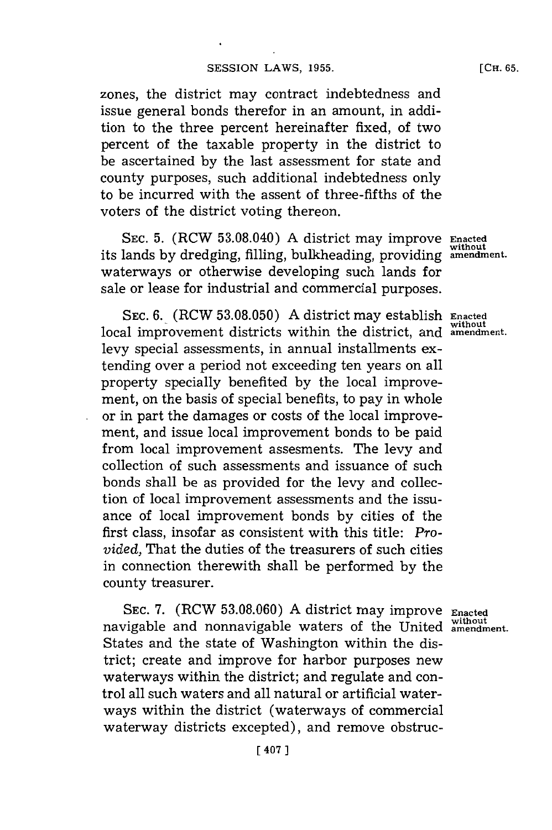zones, the district may contract indebtedness and issue general bonds therefor in an amount, in addition to the three percent hereinafter fixed, of two percent of the taxable property in the district to be ascertained **by** the last assessment for state and county purposes, such additional indebtedness only to be incurred with the assent of three-fifths of the voters of the district voting thereon.

**SEC. 5.** (RCW **53.08.040) A** district may improve **Enacted** its lands by dredging, filling, bulkheading, providing waterways or otherwise developing such lands for sale or lease for industrial and commercial purposes.

SEC. **6.** (RCW **53.08.050) A** district may establish **Enacted without** local improvement districts within the district, and **amendment.** levy special assessments, in annual installments extending over a period not exceeding ten years on all property specially benefited **by** the local improvement, on the basis of special benefits, to pay in whole or in part the damages or costs of the local improvement, and issue local improvement bonds to be paid from local improvement assesments. The levy and collection of such assessments and issuance of such bonds shall be as provided for the levy and collection of local improvement assessments and the issuance of local improvement bonds **by** cities of the first class, insofar as consistent with this title: *Provided,* That the duties of the treasurers of such cities in connection therewith shall be performed **by** the county treasurer.

**SEC. 7.** (RCW **53.08.060) A** district may improve **Enacted without** navigable and nonnavigable waters of the United **amendment.** States and the state of Washington within the district; create and improve for harbor purposes new waterways within the district; and regulate and control all such waters and all natural or artificial waterways within the district (waterways of commercial waterway districts excepted), and remove obstruc-

**[CH. 65.**

**without**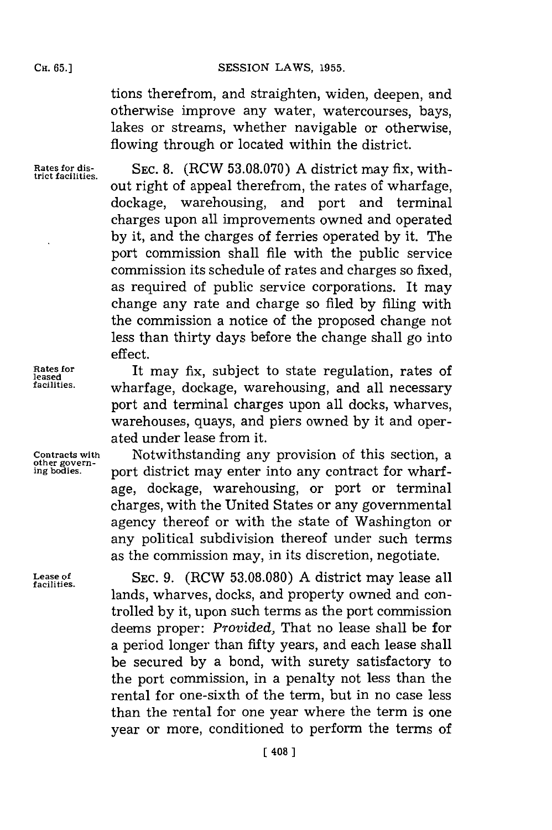#### **Cii.65.]SESSION** LAWS, **1955.**

tions therefrom, and straighten, widen, deepen, and otherwise improve any water, watercourses, bays, lakes or streams, whether navigable or otherwise, flowing through or located within the district.

**Rates for dis-trict facilities.**

**SEC. 8.** (RCW **53.08.070) A** district may fix, without right of appeal therefrom, the rates of wharfage, dockage, warehousing, and port and terminal charges upon all improvements owned and operated **by** it, and the charges of ferries operated **by** it. The port commission shall file with the public service commission its schedule of rates and charges so fixed, as required of public service corporations. It may change any rate and charge so filed **by** filing with the commission a notice of the proposed change not less than thirty days before the change shall go into effect.

It may fix, subject to state regulation, rates of wharfage, dockage, warehousing, and all necessary port and terminal charges upon all docks, wharves, warehouses, quays, and piers owned **by** it and operated under lease from it.

Notwithstanding any provision of this section, a port district may enter into any contract for wharfage, dockage, warehousing, or port or terminal charges, with the United States or any governmental agency thereof or with the state of Washington or any political subdivision thereof under such terms as the commission may, in its discretion, negotiate.

**SEC. 9.** (RCW **53.08.080) A** district may lease all lands, wharves, docks, and property owned and controlled **by** it, upon such terms as the port commission deems proper: *Provided,* That no lease shall be for a period longer than fifty years, and each lease shall be secured **by** a bond, with surety satisfactory to the port commission, in a penalty not less than the rental for one-sixth of the term, but in no case less than the rental for one year where the term is one year or more, conditioned to perform the terms of

**Rates for leased facilities.**

**Contracts with other govern- ing bodies.**

**Lease of facilities.**

## **CH. 65.]**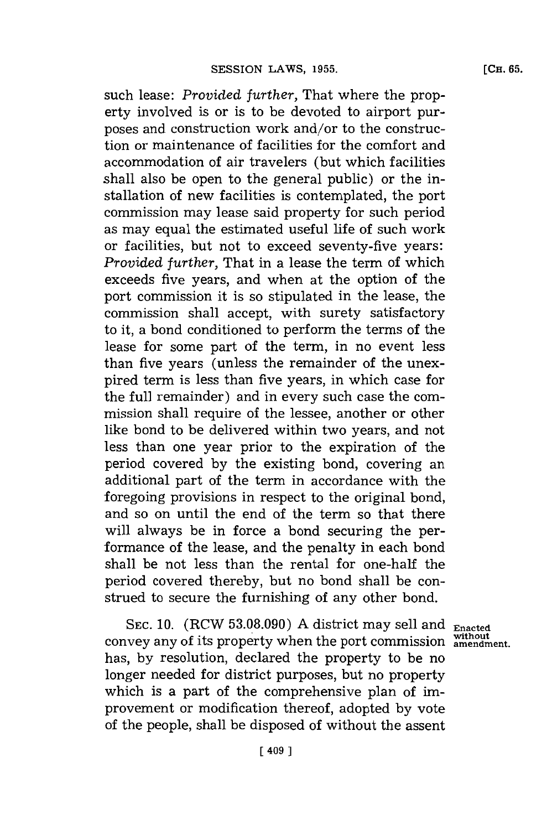such lease: *Provided further,* That where the property involved is or is to be devoted to airport purposes and construction work and/or to the construction or maintenance of facilities for the comfort and accommodation of air travelers (but which facilities shall also be open to the general public) or the installation of new facilities is contemplated, the port commission may lease said property for such period as may equal the estimated useful life of such work or facilities, but not to exceed seventy-five years: *Provided further,* That in a lease the term of which exceeds five years, and when at the option of the port commission it is so stipulated in the lease, the commission shall accept, with surety satisfactory to it, a bond conditioned to perform the terms of the lease for some part of the term, in no event less than five years (unless the remainder of the unexpired term is less than five years, in which case for the full remainder) and in every such case the commission shall require of the lessee, another or other like bond to be delivered within two years, and not less than one year prior to the expiration of the period covered **by** the existing bond, covering an additional part of the term in accordance with the foregoing provisions in respect to the original bond, and so on until the end of the term so that there will always be in force a bond securing the performance of the lease, and the penalty in each bond shall be not less than the rental for one-half the period covered thereby, but no bond shall be construed to secure the furnishing of any other bond.

**SEC. 10.** (RCW **53.08.090) A** district may sell and **Enacted** convey any of its property when the port commission without has, **by** resolution, declared the property to be no longer needed for district purposes, but no property which is a part of the comprehensive plan of improvement or modification thereof, adopted **by** vote of the people, shall be disposed of without the assent